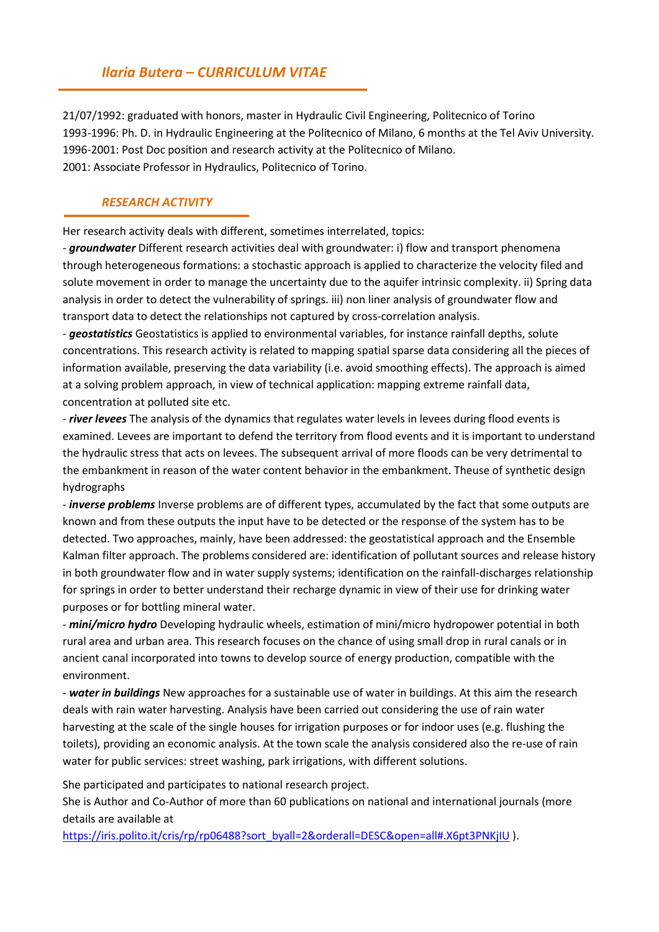# Ilaria Butera – CURRICULUM VITAE

21/07/1992: graduated with honors, master in Hydraulic Civil Engineering, Politecnico of Torino 1993-1996: Ph. D. in Hydraulic Engineering at the Politecnico of Milano, 6 months at the Tel Aviv University. 1996-2001: Post Doc position and research activity at the Politecnico of Milano. 2001: Associate Professor in Hydraulics, Politecnico of Torino.

### RESEARCH ACTIVITY

Her research activity deals with different, sometimes interrelated, topics:

- **groundwater** Different research activities deal with groundwater: i) flow and transport phenomena through heterogeneous formations: a stochastic approach is applied to characterize the velocity filed and solute movement in order to manage the uncertainty due to the aquifer intrinsic complexity. ii) Spring data analysis in order to detect the vulnerability of springs. iii) non liner analysis of groundwater flow and transport data to detect the relationships not captured by cross-correlation analysis.

- **geostatistics** Geostatistics is applied to environmental variables, for instance rainfall depths, solute concentrations. This research activity is related to mapping spatial sparse data considering all the pieces of information available, preserving the data variability (i.e. avoid smoothing effects). The approach is aimed at a solving problem approach, in view of technical application: mapping extreme rainfall data, concentration at polluted site etc.

- river levees The analysis of the dynamics that regulates water levels in levees during flood events is examined. Levees are important to defend the territory from flood events and it is important to understand the hydraulic stress that acts on levees. The subsequent arrival of more floods can be very detrimental to the embankment in reason of the water content behavior in the embankment. Theuse of synthetic design hydrographs

- *inverse problems* Inverse problems are of different types, accumulated by the fact that some outputs are known and from these outputs the input have to be detected or the response of the system has to be detected. Two approaches, mainly, have been addressed: the geostatistical approach and the Ensemble Kalman filter approach. The problems considered are: identification of pollutant sources and release history in both groundwater flow and in water supply systems; identification on the rainfall-discharges relationship for springs in order to better understand their recharge dynamic in view of their use for drinking water purposes or for bottling mineral water.

- mini/micro hydro Developing hydraulic wheels, estimation of mini/micro hydropower potential in both rural area and urban area. This research focuses on the chance of using small drop in rural canals or in ancient canal incorporated into towns to develop source of energy production, compatible with the environment.

- water in buildings New approaches for a sustainable use of water in buildings. At this aim the research deals with rain water harvesting. Analysis have been carried out considering the use of rain water harvesting at the scale of the single houses for irrigation purposes or for indoor uses (e.g. flushing the toilets), providing an economic analysis. At the town scale the analysis considered also the re-use of rain water for public services: street washing, park irrigations, with different solutions.

She participated and participates to national research project.

She is Author and Co-Author of more than 60 publications on national and international journals (more details are available at

https://iris.polito.it/cris/rp/rp06488?sort\_byall=2&orderall=DESC&open=all#.X6pt3PNKjIU ).